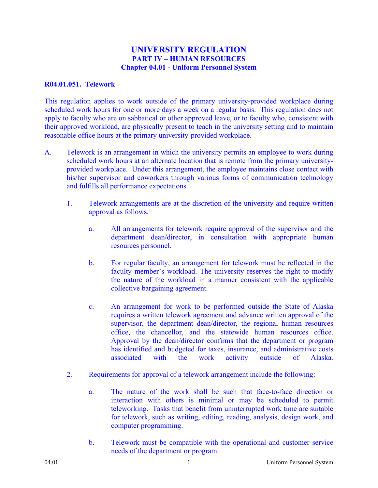## **UNIVERSITY REGULATION PART IV – HUMAN RESOURCES Chapter 04.01 - Uniform Personnel System**

## **R04.01.051. Telework**

This regulation applies to work outside of the primary university-provided workplace during scheduled work hours for one or more days a week on a regular basis. This regulation does not apply to faculty who are on sabbatical or other approved leave, or to faculty who, consistent with their approved workload, are physically present to teach in the university setting and to maintain reasonable office hours at the primary university-provided workplace.

- A. Telework is an arrangement in which the university permits an employee to work during scheduled work hours at an alternate location that is remote from the primary universityprovided workplace. Under this arrangement, the employee maintains close contact with his/her supervisor and coworkers through various forms of communication technology and fulfills all performance expectations.
	- 1. Telework arrangements are at the discretion of the university and require written approval as follows.
		- a. All arrangements for telework require approval of the supervisor and the department dean/director, in consultation with appropriate human resources personnel.
		- b. For regular faculty, an arrangement for telework must be reflected in the faculty member's workload. The university reserves the right to modify the nature of the workload in a manner consistent with the applicable collective bargaining agreement.
		- c. An arrangement for work to be performed outside the State of Alaska requires a written telework agreement and advance written approval of the supervisor, the department dean/director, the regional human resources office, the chancellor, and the statewide human resources office. Approval by the dean/director confirms that the department or program has identified and budgeted for taxes, insurance, and administrative costs associated with the work activity outside of Alaska.
	- 2. Requirements for approval of a telework arrangement include the following:
		- a. The nature of the work shall be such that face-to-face direction or interaction with others is minimal or may be scheduled to permit teleworking. Tasks that benefit from uninterrupted work time are suitable for telework, such as writing, editing, reading, analysis, design work, and computer programming.
		- b. Telework must be compatible with the operational and customer service needs of the department or program.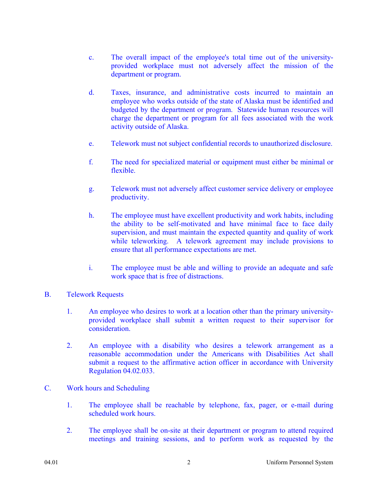- c. The overall impact of the employee's total time out of the universityprovided workplace must not adversely affect the mission of the department or program.
- d. Taxes, insurance, and administrative costs incurred to maintain an employee who works outside of the state of Alaska must be identified and budgeted by the department or program. Statewide human resources will charge the department or program for all fees associated with the work activity outside of Alaska.
- e. Telework must not subject confidential records to unauthorized disclosure.
- f. The need for specialized material or equipment must either be minimal or flexible.
- g. Telework must not adversely affect customer service delivery or employee productivity.
- h. The employee must have excellent productivity and work habits, including the ability to be self-motivated and have minimal face to face daily supervision, and must maintain the expected quantity and quality of work while teleworking. A telework agreement may include provisions to ensure that all performance expectations are met.
- i. The employee must be able and willing to provide an adequate and safe work space that is free of distractions.
- B. Telework Requests
	- 1. An employee who desires to work at a location other than the primary universityprovided workplace shall submit a written request to their supervisor for consideration.
	- 2. An employee with a disability who desires a telework arrangement as a reasonable accommodation under the Americans with Disabilities Act shall submit a request to the affirmative action officer in accordance with University Regulation 04.02.033.
- C. Work hours and Scheduling
	- 1. The employee shall be reachable by telephone, fax, pager, or e-mail during scheduled work hours.
	- 2. The employee shall be on-site at their department or program to attend required meetings and training sessions, and to perform work as requested by the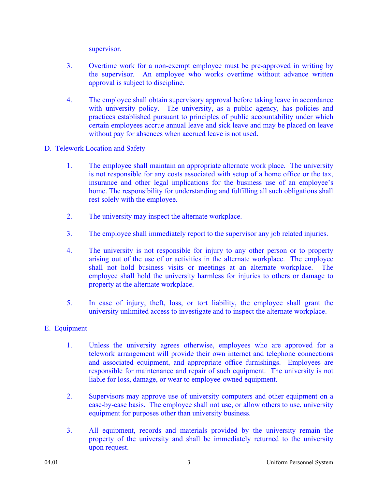supervisor.

- 3. Overtime work for a non-exempt employee must be pre-approved in writing by the supervisor. An employee who works overtime without advance written approval is subject to discipline.
- 4. The employee shall obtain supervisory approval before taking leave in accordance with university policy. The university, as a public agency, has policies and practices established pursuant to principles of public accountability under which certain employees accrue annual leave and sick leave and may be placed on leave without pay for absences when accrued leave is not used.
- D. Telework Location and Safety
	- 1. The employee shall maintain an appropriate alternate work place. The university is not responsible for any costs associated with setup of a home office or the tax, insurance and other legal implications for the business use of an employee's home. The responsibility for understanding and fulfilling all such obligations shall rest solely with the employee.
	- 2. The university may inspect the alternate workplace.
	- 3. The employee shall immediately report to the supervisor any job related injuries.
	- 4. The university is not responsible for injury to any other person or to property arising out of the use of or activities in the alternate workplace. The employee shall not hold business visits or meetings at an alternate workplace. The employee shall hold the university harmless for injuries to others or damage to property at the alternate workplace.
	- 5. In case of injury, theft, loss, or tort liability, the employee shall grant the university unlimited access to investigate and to inspect the alternate workplace.

## E. Equipment

- 1. Unless the university agrees otherwise, employees who are approved for a telework arrangement will provide their own internet and telephone connections and associated equipment, and appropriate office furnishings. Employees are responsible for maintenance and repair of such equipment. The university is not liable for loss, damage, or wear to employee-owned equipment.
- 2. Supervisors may approve use of university computers and other equipment on a case-by-case basis. The employee shall not use, or allow others to use, university equipment for purposes other than university business.
- 3. All equipment, records and materials provided by the university remain the property of the university and shall be immediately returned to the university upon request.